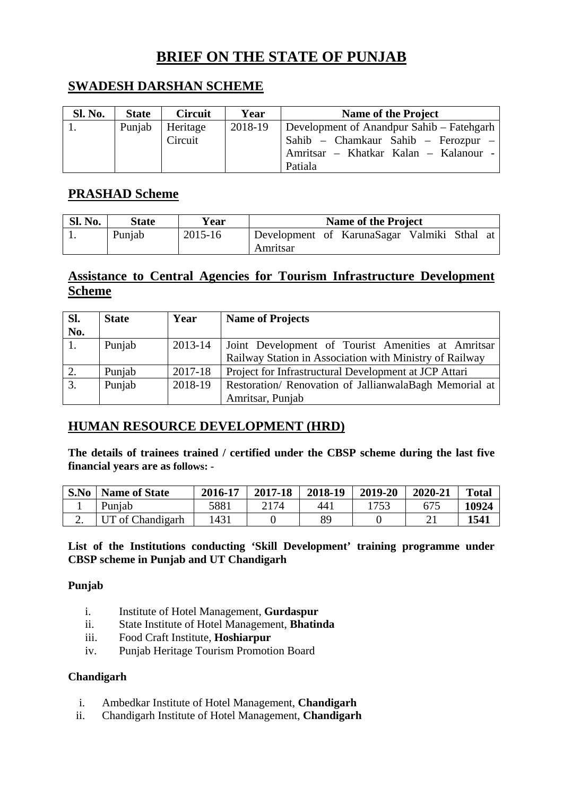# **BRIEF ON THE STATE OF PUNJAB**

## **SWADESH DARSHAN SCHEME**

| <b>Sl. No.</b> | <b>State</b> | <b>Circuit</b>      | Year    | <b>Name of the Project</b>                                                                                                           |
|----------------|--------------|---------------------|---------|--------------------------------------------------------------------------------------------------------------------------------------|
|                | Punjab       | Heritage<br>Circuit | 2018-19 | Development of Anandpur Sahib – Fatehgarh<br>Sahib – Chamkaur Sahib – Ferozpur –<br>Amritsar – Khatkar Kalan – Kalanour -<br>Patiala |

## **PRASHAD Scheme**

| <b>Sl. No.</b> | <b>State</b> | Year    | <b>Name of the Project</b>                              |
|----------------|--------------|---------|---------------------------------------------------------|
|                | Punjab       | 2015-16 | Development of KarunaSagar Valmiki Sthal at<br>Amritsar |

## **Assistance to Central Agencies for Tourism Infrastructure Development Scheme**

| Sl.        | <b>State</b> | Year    | <b>Name of Projects</b>                                 |
|------------|--------------|---------|---------------------------------------------------------|
| No.        |              |         |                                                         |
| $\cdot$ 1. | Punjab       | 2013-14 | Joint Development of Tourist Amenities at Amritsar      |
|            |              |         | Railway Station in Association with Ministry of Railway |
| 2.         | Punjab       | 2017-18 | Project for Infrastructural Development at JCP Attari   |
| 3.         | Punjab       | 2018-19 | Restoration/ Renovation of JallianwalaBagh Memorial at  |
|            |              |         | Amritsar, Punjab                                        |

## **HUMAN RESOURCE DEVELOPMENT (HRD)**

**The details of trainees trained / certified under the CBSP scheme during the last five financial years are as follows: -** 

| S.No | <b>Name of State</b> | 2016-17 | 2017-18 | 2018-19 | 2019-20       | 2020-21 | <b>Total</b> |
|------|----------------------|---------|---------|---------|---------------|---------|--------------|
|      | Punjab               | 5881    | 2174    | 441     | $175^{\circ}$ |         | 10924        |
| ـ ـ  | UT of Chandigarh     | 1431    |         | QC.     |               |         | 1541         |

### **List of the Institutions conducting 'Skill Development' training programme under CBSP scheme in Punjab and UT Chandigarh**

### **Punjab**

- i. Institute of Hotel Management, **Gurdaspur**
- ii. State Institute of Hotel Management, **Bhatinda**
- iii. Food Craft Institute, **Hoshiarpur**
- iv. Punjab Heritage Tourism Promotion Board

### **Chandigarh**

- i. Ambedkar Institute of Hotel Management, **Chandigarh**
- ii. Chandigarh Institute of Hotel Management, **Chandigarh**